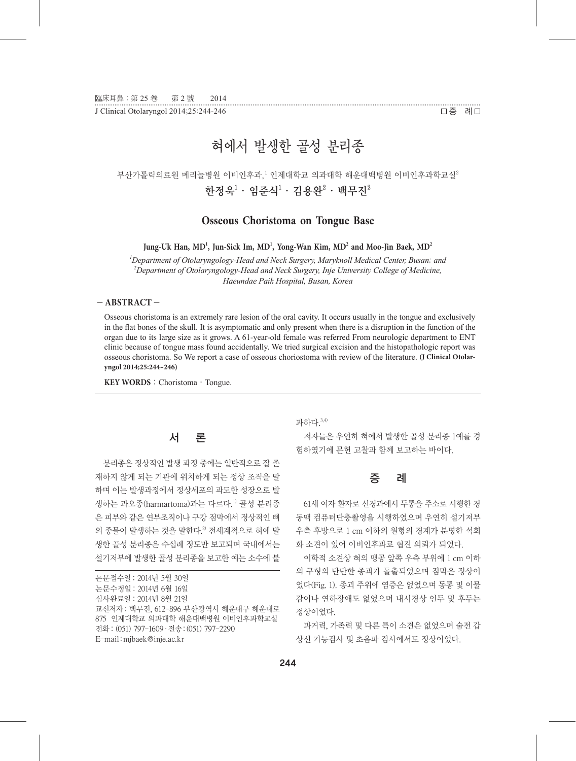J Clinical Otolaryngol 2014;25:244-246

••••••••••••••••••••••••••••••••••••••••••••••••••••••••••••••• ••••••••••••••••••••••••••••••••••••••••••••••••••••••••••••••• ••••••••••••••••••••••••••••••••••••••••••••••••••••••••••••••• •••••••••••••••••••••••••• 증 례

# 혀에서 발생한 골성 분리종

## 부산가톨릭의료원 메리놀병원 이비인후과,<sup>1</sup> 인제대학교 의과대학 해운대백병원 이비인후과학교실<sup>2</sup> 한정욱 $^1$ ㆍ임준식 $^1$ ㆍ김용완 $^2$ ㆍ백무진 $^2$

**Osseous Choristoma on Tongue Base**

**Jung-Uk Han, MD<sup>1</sup> , Jun-Sick Im, MD<sup>1</sup> , Yong-Wan Kim, MD<sup>2</sup> and Moo-Jin Baek, MD<sup>2</sup>**

*1 Department of Otolaryngology-Head and Neck Surgery, Maryknoll Medical Center, Busan; and 2* <sup>2</sup>Department of Otolaryngology-Head and Neck Surgery, Inje University College of Medicine, *Haeundae Paik Hospital, Busan, Korea*

#### - **ABSTRACT** -

Osseous choristoma is an extremely rare lesion of the oral cavity. It occurs usually in the tongue and exclusively in the flat bones of the skull. It is asymptomatic and only present when there is a disruption in the function of the organ due to its large size as it grows. A 61-year-old female was referred From neurologic department to ENT clinic because of tongue mass found accidentally. We tried surgical excision and the histopathologic report was osseous choristoma. So We report a case of osseous choriostoma with review of the literature. **(J Clinical Otolaryngol 2014;25:244-246)**

KEY WORDS: Choristoma · Tongue.

#### 서 론

분리종은 정상적인 발생 과정 중에는 일반적으로 잘 존 재하지 않게 되는 기관에 위치하게 되는 정상 조직을 말 하며 이는 발생과정에서 정상세포의 과도한 성장으로 발 생하는 과오종(harmartoma)과는 다르다.<sup>1)</sup> 골성 분리종 은 피부와 같은 연부조직이나 구강 점막에서 정상적인 뼈 의 종물이 발생하는 것을 말한다.<sup>2</sup> 전세계적으로 혀에 발 생한 골성 분리종은 수십례 정도만 보고되며 국내에서는 설기저부에 발생한 골성 분리종을 보고한 예는 소수에 불 과하다. 3,4)

저자들은 우연히 혀에서 발생한 골성 분리종 1예를 경 험하였기에 문헌 고찰과 함께 보고하는 바이다.

## 증 례

61세 여자 환자로 신경과에서 두통을 주소로 시행한 경 동맥 컴퓨터단층촬영을 시행하였으며 우연히 설기저부 우측 후방으로 1 cm 이하의 원형의 경계가 분명한 석회 화 소견이 있어 이비인후과로 협진 의뢰가 되었다.

이학적 소견상 혀의 맹공 앞쪽 우측 부위에 1 cm 이하 의 구형의 단단한 종괴가 돌출되었으며 점막은 정상이 었다(Fig. 1). 종괴 주위에 염증은 없었으며 동통 및 이물 감이나 연하장애도 없었으며 내시경상 인두 및 후두는 정상이었다.

과거력, 가족력 및 다른 특이 소견은 없었으며 술전 갑 상선 기능검사 및 초음파 검사에서도 정상이었다.

논문접수일:2014년 5월 30일 논문수정일:2014년 6월 16일 심사완료일:2014년 8월 21일 교신저자:백무진, 612-896 부산광역시 해운대구 해운대로 875 인제대학교 의과대학 해운대백병원 이비인후과학교실 전화:(051) 797-1609·전송:(051) 797-2290 E-mail:mjbaek@inje.ac.kr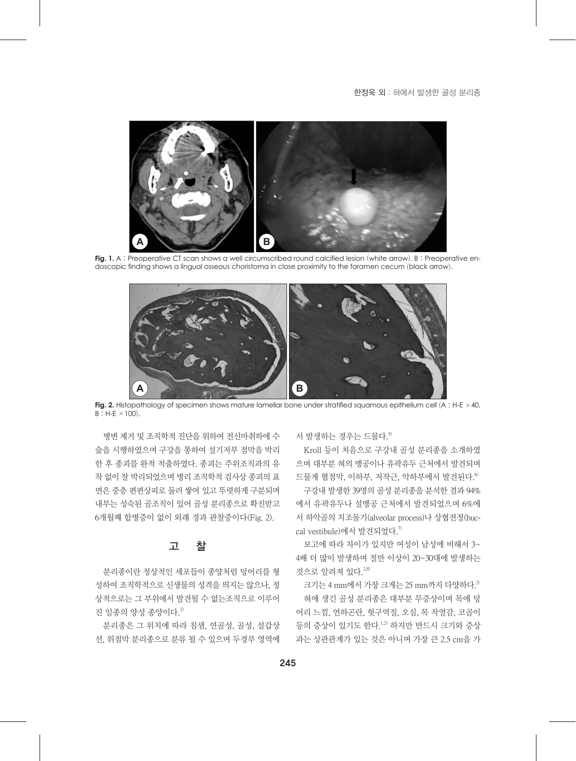**A B**

**Fig. 1.** A : Preoperative CT scan shows a well circumscribed round calcified lesion (white arrow). B : Preoperative endoscopic finding shows a lingual osseous choristoma in close proximity to the foramen cecum (black arrow).



**Fig. 2.** Histopathology of specimen shows mature lamellar bone under stratified squamous epithelium cell (A : H-E ×40,  $B : H-E \times 100$ ).

병변 제거 및 조직학적 진단을 위하여 전신마취하에 수 술을 시행하였으며 구강을 통하여 설기저부 점막을 박리 한 후 종괴를 완적 적출하였다. 종괴는 주위조직과의 유 착 없이 잘 박리되었으며 병리 조직학적 검사상 종괴의 표 면은 중층 편편상피로 둘러 쌓여 있고 뚜렷하게 구분되며 내부는 성숙된 골조직이 있어 골성 분리종으로 확진받고 6개월째 합병증이 없이 외래 경과 관찰중이다(Fig. 2).

## 고 찰

분리종이란 정상적인 세포들이 종양처럼 덩어리를 형 성하여 조직학적으로 신생물의 성격을 띄지는 않으나, 정 상적으로는 그 부위에서 발견될 수 없는조직으로 이루어 진 일종의 양성 종양이다. $^{2}$ 

분리종은 그 위치에 따라 침샘, 연골성, 골성, 설갑상 선, 위점막 분리종으로 분류 될 수 있으며 두경부 영역에 서 발생하는 경우는 드물다. 5)

Kroll 등이 처음으로 구강내 골성 분리종을 소개하였 으며 대부분 혀의 맹공이나 유곽유두 근처에서 발견되며 드물게 협점막, 이하부, 저작근, 악하부에서 발견된다. 6)

구강내 발생한 39명의 골성 분리종을 분석한 결과 94% 에서 유곽유두나 설맹공 근처에서 발견되었으며 6%에 서 하악골의 치조돌기(alveolar process)나 상협전정(buccal vestibule)에서 발견되었다.<sup>7)</sup>

보고에 따라 차이가 있지만 여성이 남성에 비해서 3~ 4배 더 많이 발생하며 절반 이상이 20~30대에 발생하는 것으로 알려져 있다.<sup>2,8)</sup>

크기는 4 mm에서 가장 크게는 25 mm까지 다양하다.<sup>2)</sup>

혀에 생긴 골성 분리종은 대부분 무증상이며 목에 덩 어리 느낌, 연하곤란, 헛구역질, 오심, 목 작열감, 코골이 등의 증상이 있기도 한다.<sup>1,2)</sup> 하지만 반드시 크기와 증상 과는 상관관계가 있는 것은 아니며 가장 큰 2.5 cm을 가